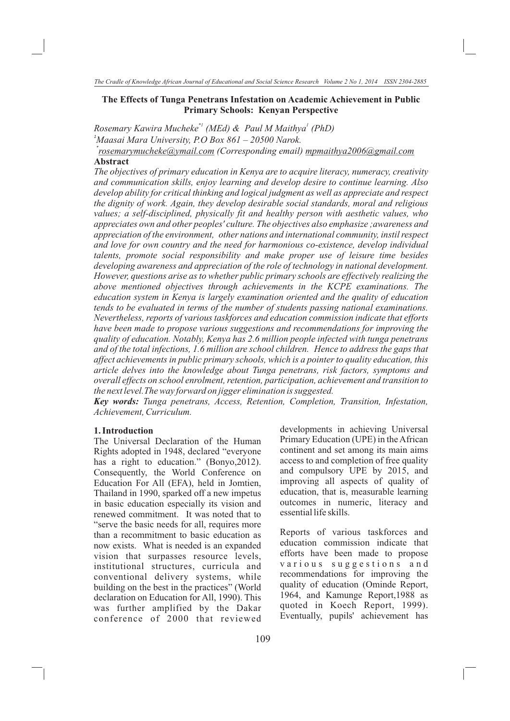#### **The Effects of Tunga Penetrans Infestation on Academic Achievement in Public Primary Schools: Kenyan Perspective**

*\*1 1 Rosemary Kawira Mucheke (MEd) & Paul M Maithya (PhD) <sup>1</sup>Maasai Mara University, P.O Box 861 – 20500 Narok.*

*\* rosemarymucheke@ymail.com (Corresponding email) mpmaithya2006@gmail.com*  **Abstract**

*The objectives of primary education in Kenya are to acquire literacy, numeracy, creativity and communication skills, enjoy learning and develop desire to continue learning. Also develop ability for critical thinking and logical judgment as well as appreciate and respect the dignity of work. Again, they develop desirable social standards, moral and religious values; a self-disciplined, physically fit and healthy person with aesthetic values, who appreciates own and other peoples' culture. The objectives also emphasize ;awareness and appreciation of the environment, other nations and international community, instil respect and love for own country and the need for harmonious co-existence, develop individual talents, promote social responsibility and make proper use of leisure time besides developing awareness and appreciation of the role of technology in national development. However, questions arise as to whether public primary schools are effectively realizing the above mentioned objectives through achievements in the KCPE examinations. The education system in Kenya is largely examination oriented and the quality of education tends to be evaluated in terms of the number of students passing national examinations. Nevertheless, reports of various taskforces and education commission indicate that efforts have been made to propose various suggestions and recommendations for improving the quality of education. Notably, Kenya has 2.6 million people infected with tunga penetrans and of the total infections, 1.6 million are school children. Hence to address the gaps that affect achievements in public primary schools, which is a pointer to quality education, this article delves into the knowledge about Tunga penetrans, risk factors, symptoms and overall effects on school enrolment, retention, participation, achievement and transition to the next level.The way forward on jigger elimination is suggested.*

*Key words: Tunga penetrans, Access, Retention, Completion, Transition, Infestation, Achievement, Curriculum.*

### **1. Introduction**

The Universal Declaration of the Human Rights adopted in 1948, declared "everyone has a right to education." (Bonyo, 2012). Consequently, the World Conference on Education For All (EFA), held in Jomtien, Thailand in 1990, sparked off a new impetus in basic education especially its vision and renewed commitment. It was noted that to "serve the basic needs for all, requires more than a recommitment to basic education as now exists. What is needed is an expanded vision that surpasses resource levels, institutional structures, curricula and conventional delivery systems, while building on the best in the practices" (World declaration on Education for All, 1990). This was further amplified by the Dakar conference of 2000 that reviewed

developments in achieving Universal Primary Education (UPE) in the African continent and set among its main aims access to and completion of free quality and compulsory UPE by 2015, and improving all aspects of quality of education, that is, measurable learning outcomes in numeric, literacy and essential life skills.

Reports of various taskforces and education commission indicate that efforts have been made to propose various suggestions and recommendations for improving the quality of education (Ominde Report, 1964, and Kamunge Report,1988 as quoted in Koech Report, 1999). Eventually, pupils' achievement has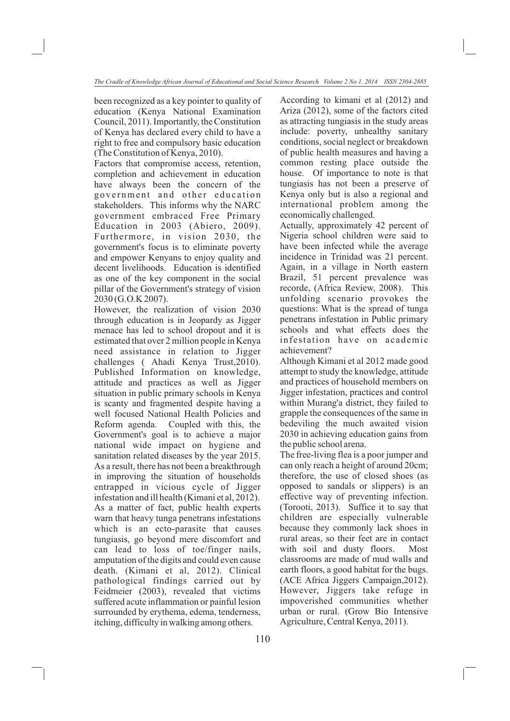been recognized as a key pointer to quality of education (Kenya National Examination Council, 2011). Importantly, the Constitution of Kenya has declared every child to have a right to free and compulsory basic education (The Constitution of Kenya, 2010).

Factors that compromise access, retention, completion and achievement in education have always been the concern of the government and other education stakeholders. This informs why the NARC government embraced Free Primary Education in 2003 (Abiero, 2009). Furthermore, in vision 2030, the government's focus is to eliminate poverty and empower Kenyans to enjoy quality and decent livelihoods. Education is identified as one of the key component in the social pillar of the Government's strategy of vision 2030 (G.O.K 2007).

However, the realization of vision 2030 through education is in Jeopardy as Jigger menace has led to school dropout and it is estimated that over 2 million people in Kenya need assistance in relation to Jigger challenges ( Ahadi Kenya Trust,2010). Published Information on knowledge, attitude and practices as well as Jigger situation in public primary schools in Kenya is scanty and fragmented despite having a well focused National Health Policies and Reform agenda. Coupled with this, the Government's goal is to achieve a major national wide impact on hygiene and sanitation related diseases by the year 2015. As a result, there has not been a breakthrough in improving the situation of households entrapped in vicious cycle of Jigger infestation and ill health (Kimani et al, 2012). As a matter of fact, public health experts warn that heavy tunga penetrans infestations which is an ecto-parasite that causes tungiasis, go beyond mere discomfort and can lead to loss of toe/finger nails, amputation of the digits and could even cause death. (Kimani et al, 2012). Clinical pathological findings carried out by Feidmeier (2003), revealed that victims suffered acute inflammation or painful lesion surrounded by erythema, edema, tenderness, itching, difficulty in walking among others.

According to kimani et al (2012) and Ariza (2012), some of the factors cited as attracting tungiasis in the study areas include: poverty, unhealthy sanitary conditions, social neglect or breakdown of public health measures and having a common resting place outside the house. Of importance to note is that tungiasis has not been a preserve of Kenya only but is also a regional and international problem among the economically challenged.

Actually, approximately 42 percent of Nigeria school children were said to have been infected while the average incidence in Trinidad was 21 percent. Again, in a village in North eastern Brazil, 51 percent prevalence was recorde, (Africa Review, 2008). This unfolding scenario provokes the questions: What is the spread of tunga penetrans infestation in Public primary schools and what effects does the infestation have on academic achievement?

Although Kimani et al 2012 made good attempt to study the knowledge, attitude and practices of household members on Jigger infestation, practices and control within Murang'a district, they failed to grapple the consequences of the same in bedeviling the much awaited vision 2030 in achieving education gains from the public school arena.

The free-living flea is a poor jumper and can only reach a height of around 20cm; therefore, the use of closed shoes (as opposed to sandals or slippers) is an effective way of preventing infection. (Torooti, 2013). Suffice it to say that children are especially vulnerable because they commonly lack shoes in rural areas, so their feet are in contact with soil and dusty floors. Most classrooms are made of mud walls and earth floors, a good habitat for the bugs. (ACE Africa Jiggers Campaign,2012). However, Jiggers take refuge in impoverished communities whether urban or rural. (Grow Bio Intensive Agriculture, Central Kenya, 2011).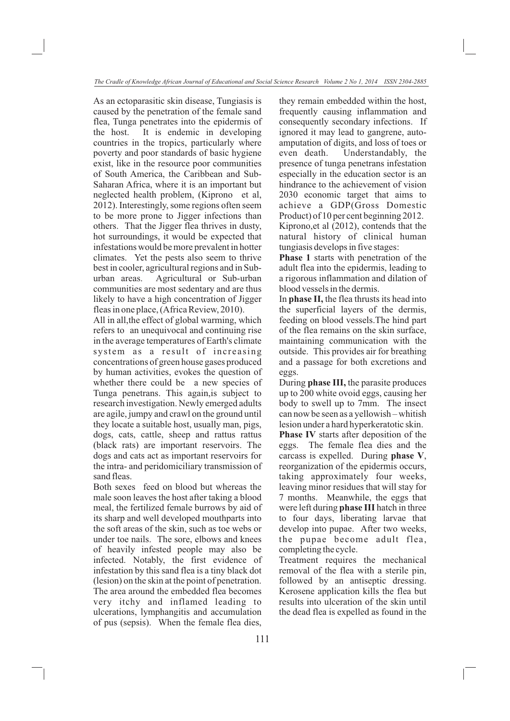As an ectoparasitic skin disease, Tungiasis is caused by the penetration of the female sand flea, Tunga penetrates into the epidermis of the host. It is endemic in developing countries in the tropics, particularly where poverty and poor standards of basic hygiene exist, like in the resource poor communities of South America, the Caribbean and Sub-Saharan Africa, where it is an important but neglected health problem, (Kiprono et al, 2012). Interestingly, some regions often seem to be more prone to Jigger infections than others. That the Jigger flea thrives in dusty, hot surroundings, it would be expected that infestations would be more prevalent in hotter climates. Yet the pests also seem to thrive best in cooler, agricultural regions and in Suburban areas. Agricultural or Sub-urban communities are most sedentary and are thus likely to have a high concentration of Jigger fleas in one place, (Africa Review, 2010).

All in all,the effect of global warming, which refers to an unequivocal and continuing rise in the average temperatures of Earth's climate system as a result of increasing concentrations of green house gases produced by human activities, evokes the question of whether there could be a new species of Tunga penetrans. This again,is subject to research investigation. Newly emerged adults are agile, jumpy and crawl on the ground until they locate a suitable host, usually man, pigs, dogs, cats, cattle, sheep and rattus rattus (black rats) are important reservoirs. The dogs and cats act as important reservoirs for the intra- and peridomiciliary transmission of sand fleas.

Both sexes feed on blood but whereas the male soon leaves the host after taking a blood meal, the fertilized female burrows by aid of its sharp and well developed mouthparts into the soft areas of the skin, such as toe webs or under toe nails. The sore, elbows and knees of heavily infested people may also be infected. Notably, the first evidence of infestation by this sand flea is a tiny black dot (lesion) on the skin at the point of penetration. The area around the embedded flea becomes very itchy and inflamed leading to ulcerations, lymphangitis and accumulation of pus (sepsis). When the female flea dies,

they remain embedded within the host, frequently causing inflammation and consequently secondary infections. If ignored it may lead to gangrene, autoamputation of digits, and loss of toes or even death. Understandably, the presence of tunga penetrans infestation especially in the education sector is an hindrance to the achievement of vision 2030 economic target that aims to achieve a GDP(Gross Domestic Product) of 10 per cent beginning 2012. Kiprono,et al (2012), contends that the natural history of clinical human tungiasis develops in five stages:

**Phase 1** starts with penetration of the adult flea into the epidermis, leading to a rigorous inflammation and dilation of blood vessels in the dermis.

In **phase II,** the flea thrusts its head into the superficial layers of the dermis, feeding on blood vessels.The hind part of the flea remains on the skin surface, maintaining communication with the outside. This provides air for breathing and a passage for both excretions and eggs.

During **phase III,** the parasite produces up to 200 white ovoid eggs, causing her body to swell up to 7mm. The insect can now be seen as a yellowish – whitish lesion under a hard hyperkeratotic skin.

**Phase IV** starts after deposition of the eggs. The female flea dies and the carcass is expelled. During **phase V**, reorganization of the epidermis occurs, taking approximately four weeks, leaving minor residues that will stay for 7 months. Meanwhile, the eggs that were left during **phase III** hatch in three to four days, liberating larvae that develop into pupae. After two weeks, the pupae become adult flea, completing the cycle.

Treatment requires the mechanical removal of the flea with a sterile pin, followed by an antiseptic dressing. Kerosene application kills the flea but results into ulceration of the skin until the dead flea is expelled as found in the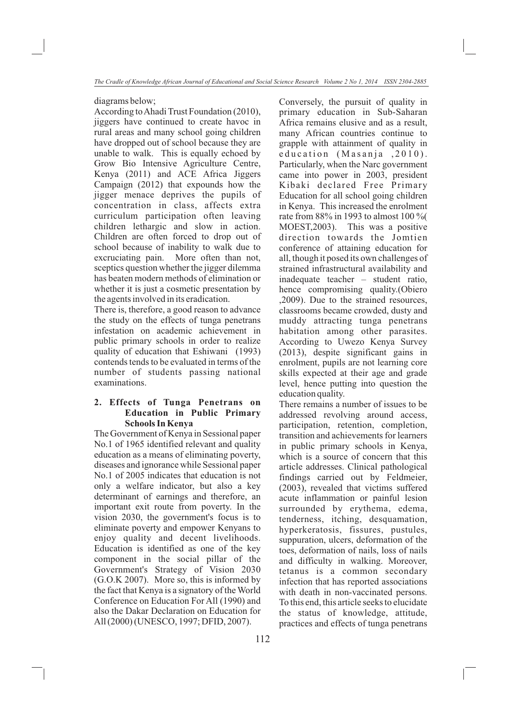diagrams below;

According to Ahadi Trust Foundation (2010), jiggers have continued to create havoc in rural areas and many school going children have dropped out of school because they are unable to walk. This is equally echoed by Grow Bio Intensive Agriculture Centre, Kenya (2011) and ACE Africa Jiggers Campaign (2012) that expounds how the jigger menace deprives the pupils of concentration in class, affects extra curriculum participation often leaving children lethargic and slow in action. Children are often forced to drop out of school because of inability to walk due to excruciating pain. More often than not, sceptics question whether the jigger dilemma has beaten modern methods of elimination or whether it is just a cosmetic presentation by the agents involved in its eradication.

There is, therefore, a good reason to advance the study on the effects of tunga penetrans infestation on academic achievement in public primary schools in order to realize quality of education that Eshiwani (1993) contends tends to be evaluated in terms of the number of students passing national examinations.

## **2. Effects of Tunga Penetrans on Education in Public Primary Schools In Kenya**

The Government of Kenya in Sessional paper No.1 of 1965 identified relevant and quality education as a means of eliminating poverty, diseases and ignorance while Sessional paper No.1 of 2005 indicates that education is not only a welfare indicator, but also a key determinant of earnings and therefore, an important exit route from poverty. In the vision 2030, the government's focus is to eliminate poverty and empower Kenyans to enjoy quality and decent livelihoods. Education is identified as one of the key component in the social pillar of the Government's Strategy of Vision 2030 (G.O.K 2007). More so, this is informed by the fact that Kenya is a signatory of the World Conference on Education For All (1990) and also the Dakar Declaration on Education for All (2000) (UNESCO, 1997; DFID, 2007).

Conversely, the pursuit of quality in primary education in Sub-Saharan Africa remains elusive and as a result, many African countries continue to grapple with attainment of quality in education (Masanja , 2010). Particularly, when the Narc government came into power in 2003, president Kibaki declared Free Primary Education for all school going children in Kenya. This increased the enrolment rate from 88% in 1993 to almost 100 %( MOEST,2003). This was a positive direction towards the Jomtien conference of attaining education for all, though it posed its own challenges of strained infrastructural availability and inadequate teacher – student ratio, hence compromising quality.(Obiero ,2009). Due to the strained resources, classrooms became crowded, dusty and muddy attracting tunga penetrans habitation among other parasites. According to Uwezo Kenya Survey (2013), despite significant gains in enrolment, pupils are not learning core skills expected at their age and grade level, hence putting into question the education quality.

There remains a number of issues to be addressed revolving around access, participation, retention, completion, transition and achievements for learners in public primary schools in Kenya, which is a source of concern that this article addresses. Clinical pathological findings carried out by Feldmeier, (2003), revealed that victims suffered acute inflammation or painful lesion surrounded by erythema, edema, tenderness, itching, desquamation, hyperkeratosis, fissures, pustules, suppuration, ulcers, deformation of the toes, deformation of nails, loss of nails and difficulty in walking. Moreover, tetanus is a common secondary infection that has reported associations with death in non-vaccinated persons. To this end, this article seeks to elucidate the status of knowledge, attitude, practices and effects of tunga penetrans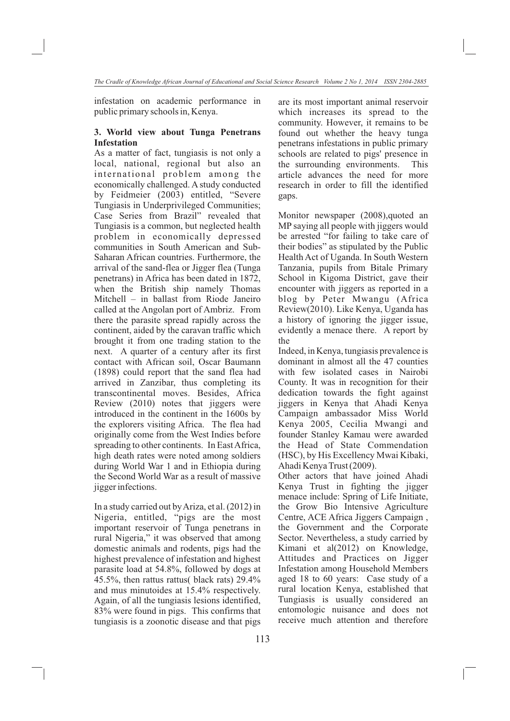infestation on academic performance in public primary schools in, Kenya.

## **3. World view about Tunga Penetrans Infestation**

As a matter of fact, tungiasis is not only a local, national, regional but also an international problem among the economically challenged. A study conducted by Feidmeier (2003) entitled, "Severe Tungiasis in Underprivileged Communities; Case Series from Brazil" revealed that Tungiasis is a common, but neglected health problem in economically depressed communities in South American and Sub-Saharan African countries. Furthermore, the arrival of the sand-flea or Jigger flea (Tunga penetrans) in Africa has been dated in 1872, when the British ship namely Thomas Mitchell – in ballast from Riode Janeiro called at the Angolan port of Ambriz. From there the parasite spread rapidly across the continent, aided by the caravan traffic which brought it from one trading station to the next. A quarter of a century after its first contact with African soil, Oscar Baumann (1898) could report that the sand flea had arrived in Zanzibar, thus completing its transcontinental moves. Besides, Africa Review (2010) notes that jiggers were introduced in the continent in the 1600s by the explorers visiting Africa. The flea had originally come from the West Indies before spreading to other continents. In East Africa, high death rates were noted among soldiers during World War 1 and in Ethiopia during the Second World War as a result of massive jigger infections.

In a study carried out by Ariza, et al. (2012) in Nigeria, entitled, "pigs are the most important reservoir of Tunga penetrans in rural Nigeria," it was observed that among domestic animals and rodents, pigs had the highest prevalence of infestation and highest parasite load at 54.8%, followed by dogs at 45.5%, then rattus rattus( black rats) 29.4% and mus minutoides at 15.4% respectively. Again, of all the tungiasis lesions identified, 83% were found in pigs. This confirms that tungiasis is a zoonotic disease and that pigs

are its most important animal reservoir which increases its spread to the community. However, it remains to be found out whether the heavy tunga penetrans infestations in public primary schools are related to pigs' presence in the surrounding environments. This article advances the need for more research in order to fill the identified gaps.

Monitor newspaper (2008),quoted an MP saying all people with jiggers would be arrested "for failing to take care of their bodies" as stipulated by the Public Health Act of Uganda. In South Western Tanzania, pupils from Bitale Primary School in Kigoma District, gave their encounter with jiggers as reported in a blog by Peter Mwangu (Africa Review(2010). Like Kenya, Uganda has a history of ignoring the jigger issue, evidently a menace there. A report by the

Indeed, in Kenya, tungiasis prevalence is dominant in almost all the 47 counties with few isolated cases in Nairobi County. It was in recognition for their dedication towards the fight against jiggers in Kenya that Ahadi Kenya Campaign ambassador Miss World Kenya 2005, Cecilia Mwangi and founder Stanley Kamau were awarded the Head of State Commendation (HSC), by His Excellency Mwai Kibaki, Ahadi Kenya Trust (2009).

Other actors that have joined Ahadi Kenya Trust in fighting the jigger menace include: Spring of Life Initiate, the Grow Bio Intensive Agriculture Centre, ACE Africa Jiggers Campaign , the Government and the Corporate Sector. Nevertheless, a study carried by Kimani et al(2012) on Knowledge, Attitudes and Practices on Jigger Infestation among Household Members aged 18 to 60 years: Case study of a rural location Kenya, established that Tungiasis is usually considered an entomologic nuisance and does not receive much attention and therefore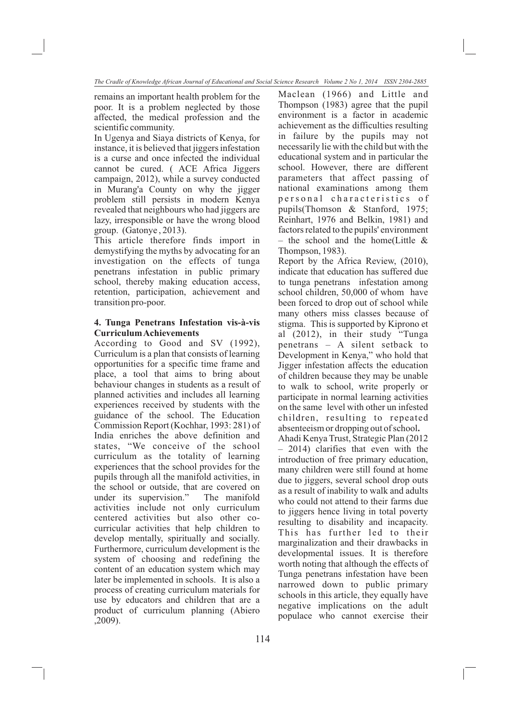*The Cradle of Knowledge African Journal of Educational and Social Science Research Volume 2 No 1, 2014 ISSN 2304-2885*

remains an important health problem for the poor. It is a problem neglected by those affected, the medical profession and the scientific community.

In Ugenya and Siaya districts of Kenya, for instance, it is believed that jiggers infestation is a curse and once infected the individual cannot be cured. ( ACE Africa Jiggers campaign, 2012), while a survey conducted in Murang'a County on why the jigger problem still persists in modern Kenya revealed that neighbours who had jiggers are lazy, irresponsible or have the wrong blood group. (Gatonye , 2013).

This article therefore finds import in demystifying the myths by advocating for an investigation on the effects of tunga penetrans infestation in public primary school, thereby making education access, retention, participation, achievement and transition pro-poor.

## **4. Tunga Penetrans Infestation vis-à-vis Curriculum Achievements**

According to Good and SV (1992), Curriculum is a plan that consists of learning opportunities for a specific time frame and place, a tool that aims to bring about behaviour changes in students as a result of planned activities and includes all learning experiences received by students with the guidance of the school. The Education Commission Report (Kochhar, 1993: 281) of India enriches the above definition and states, "We conceive of the school curriculum as the totality of learning experiences that the school provides for the pupils through all the manifold activities, in the school or outside, that are covered on under its supervision." The manifold activities include not only curriculum centered activities but also other cocurricular activities that help children to develop mentally, spiritually and socially. Furthermore, curriculum development is the system of choosing and redefining the content of an education system which may later be implemented in schools. It is also a process of creating curriculum materials for use by educators and children that are a product of curriculum planning (Abiero ,2009).

Maclean (1966) and Little and Thompson (1983) agree that the pupil environment is a factor in academic achievement as the difficulties resulting in failure by the pupils may not necessarily lie with the child but with the educational system and in particular the school. However, there are different parameters that affect passing of national examinations among them personal characteristics of pupils(Thomson & Stanford, 1975; Reinhart, 1976 and Belkin, 1981) and factors related to the pupils' environment – the school and the home(Little  $\&$ Thompson, 1983).

Report by the Africa Review, (2010), indicate that education has suffered due to tunga penetrans infestation among school children, 50,000 of whom have been forced to drop out of school while many others miss classes because of stigma. This is supported by Kiprono et al (2012), in their study "Tunga penetrans – A silent setback to Development in Kenya," who hold that Jigger infestation affects the education of children because they may be unable to walk to school, write properly or participate in normal learning activities on the same level with other un infested children, resulting to repeated absenteeism or dropping out of school**.** 

Ahadi Kenya Trust, Strategic Plan (2012 – 2014) clarifies that even with the introduction of free primary education, many children were still found at home due to jiggers, several school drop outs as a result of inability to walk and adults who could not attend to their farms due to jiggers hence living in total poverty resulting to disability and incapacity. This has further led to their marginalization and their drawbacks in developmental issues. It is therefore worth noting that although the effects of Tunga penetrans infestation have been narrowed down to public primary schools in this article, they equally have negative implications on the adult populace who cannot exercise their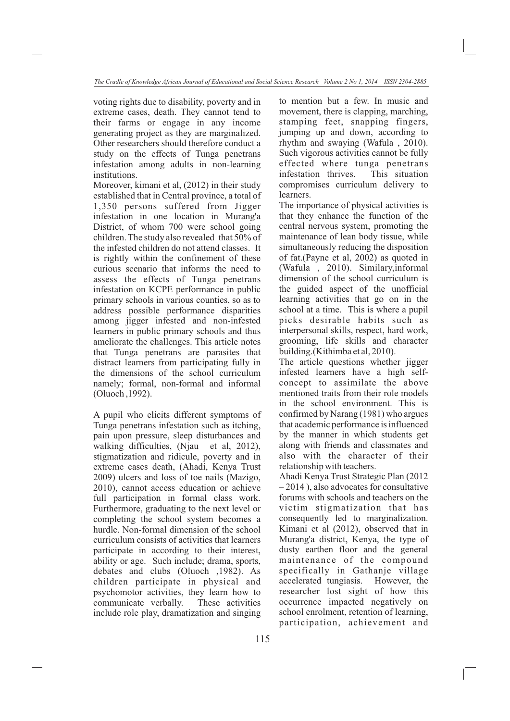voting rights due to disability, poverty and in extreme cases, death. They cannot tend to their farms or engage in any income generating project as they are marginalized. Other researchers should therefore conduct a study on the effects of Tunga penetrans infestation among adults in non-learning institutions.

Moreover, kimani et al, (2012) in their study established that in Central province, a total of 1,350 persons suffered from Jigger infestation in one location in Murang'a District, of whom 700 were school going children. The study also revealed that 50% of the infested children do not attend classes. It is rightly within the confinement of these curious scenario that informs the need to assess the effects of Tunga penetrans infestation on KCPE performance in public primary schools in various counties, so as to address possible performance disparities among jigger infested and non-infested learners in public primary schools and thus ameliorate the challenges. This article notes that Tunga penetrans are parasites that distract learners from participating fully in the dimensions of the school curriculum namely; formal, non-formal and informal (Oluoch ,1992).

A pupil who elicits different symptoms of Tunga penetrans infestation such as itching, pain upon pressure, sleep disturbances and walking difficulties, (Njau et al, 2012), stigmatization and ridicule, poverty and in extreme cases death, (Ahadi, Kenya Trust 2009) ulcers and loss of toe nails (Mazigo, 2010), cannot access education or achieve full participation in formal class work. Furthermore, graduating to the next level or completing the school system becomes a hurdle. Non-formal dimension of the school curriculum consists of activities that learners participate in according to their interest, ability or age. Such include; drama, sports, debates and clubs (Oluoch ,1982). As children participate in physical and psychomotor activities, they learn how to communicate verbally. These activities include role play, dramatization and singing to mention but a few. In music and movement, there is clapping, marching, stamping feet, snapping fingers, jumping up and down, according to rhythm and swaying (Wafula , 2010). Such vigorous activities cannot be fully effected where tunga penetrans infestation thrives. This situation compromises curriculum delivery to learners.

The importance of physical activities is that they enhance the function of the central nervous system, promoting the maintenance of lean body tissue, while simultaneously reducing the disposition of fat.(Payne et al, 2002) as quoted in (Wafula , 2010). Similary,informal dimension of the school curriculum is the guided aspect of the unofficial learning activities that go on in the school at a time. This is where a pupil picks desirable habits such as interpersonal skills, respect, hard work, grooming, life skills and character building.(Kithimba et al, 2010).

The article questions whether jigger infested learners have a high selfconcept to assimilate the above mentioned traits from their role models in the school environment. This is confirmed by Narang (1981) who argues that academic performance is influenced by the manner in which students get along with friends and classmates and also with the character of their relationship with teachers.

Ahadi Kenya Trust Strategic Plan (2012 – 2014 ), also advocates for consultative forums with schools and teachers on the victim stigmatization that has consequently led to marginalization. Kimani et al (2012), observed that in Murang'a district, Kenya, the type of dusty earthen floor and the general maintenance of the compound specifically in Gathanje village accelerated tungiasis. However, the researcher lost sight of how this occurrence impacted negatively on school enrolment, retention of learning, participation, achievement and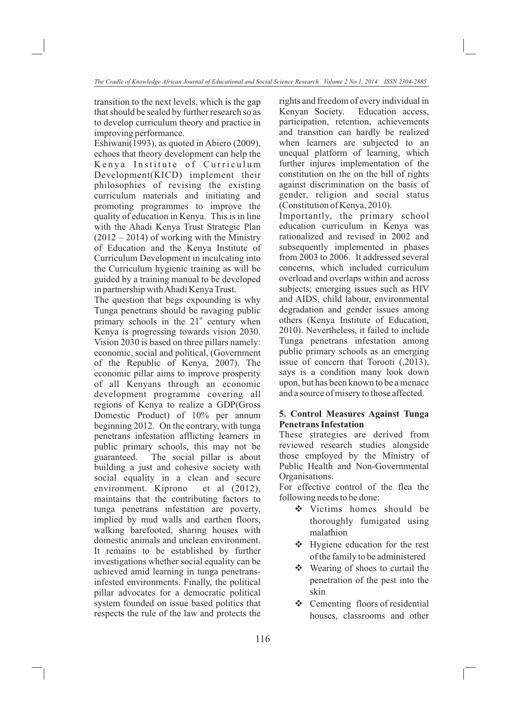transition to the next levels, which is the gap that should be sealed by further research so as to develop curriculum theory and practice in improving performance.

Eshiwani(1993), as quoted in Abiero (2009), echoes that theory development can help the Kenya Institute of Curriculum Development(KICD) implement their philosophies of revising the existing curriculum materials and initiating and promoting programmes to improve the quality of education in Kenya. This is in line with the Ahadi Kenya Trust Strategic Plan  $(2012 – 2014)$  of working with the Ministry of Education and the Kenya Institute of Curriculum Development in inculcating into the Curriculum hygienic training as will be guided by a training manual to be developed in partnership with Ahadi Kenya Trust.

The question that begs expounding is why Tunga penetrans should be ravaging public primary schools in the  $21<sup>st</sup>$  century when Kenya is progressing towards vision 2030. Vision 2030 is based on three pillars namely: economic, social and political, (Government of the Republic of Kenya, 2007). The economic pillar aims to improve prosperity of all Kenyans through an economic development programme covering all regions of Kenya to realize a GDP(Gross Domestic Product) of 10% per annum beginning 2012. On the contrary, with tunga penetrans infestation afflicting learners in public primary schools, this may not be guaranteed. The social pillar is about building a just and cohesive society with social equality in a clean and secure environment. Kiprono et al (2012), maintains that the contributing factors to tunga penetrans infestation are poverty, implied by mud walls and earthen floors, walking barefooted, sharing houses with domestic animals and unclean environment. It remains to be established by further investigations whether social equality can be achieved amid learning in tunga penetransinfested environments. Finally, the political pillar advocates for a democratic political system founded on issue based politics that respects the rule of the law and protects the rights and freedom of every individual in Kenyan Society. Education access, participation, retention, achievements and transition can hardly be realized when learners are subjected to an unequal platform of learning, which further injures implementation of the constitution on the on the bill of rights against discrimination on the basis of gender, religion and social status (Constitution of Kenya, 2010).

Importantly, the primary school education curriculum in Kenya was rationalized and revised in 2002 and subsequently implemented in phases from 2003 to 2006. It addressed several concerns, which included curriculum overload and overlaps within and across subjects; emerging issues such as HIV and AIDS, child labour, environmental degradation and gender issues among others (Kenya Institute of Education, 2010). Nevertheless, it failed to include Tunga penetrans infestation among public primary schools as an emerging issue of concern that Torooti (,2013), says is a condition many look down upon, but has been known to be a menace and a source of misery to those affected.

## **5. Control Measures Against Tunga Penetrans Infestation**

These strategies are derived from reviewed research studies alongside those employed by the Ministry of Public Health and Non-Governmental Organisations.

For effective control of the flea the following needs to be done:

- victims homes should be thoroughly fumigated using malathion
- v Hygiene education for the rest of the family to be administered
- v Wearing of shoes to curtail the penetration of the pest into the skin
- v Cementing floors of residential houses, classrooms and other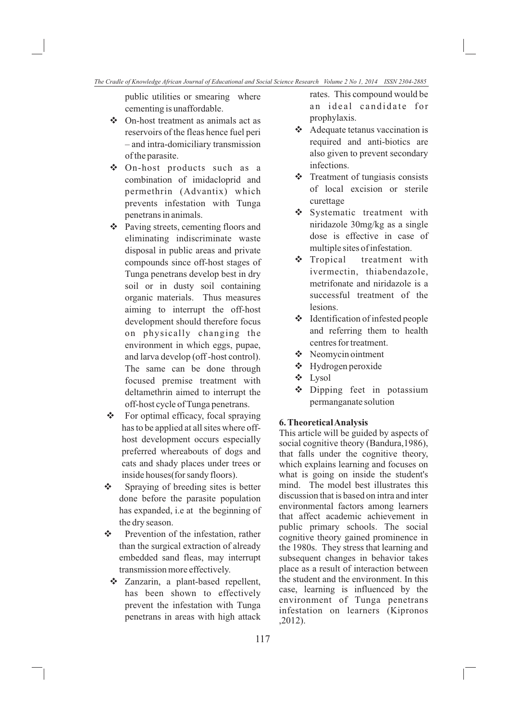public utilities or smearing where cementing is unaffordable.

- v On-host treatment as animals act as reservoirs of the fleas hence fuel peri – and intra-domiciliary transmission of the parasite.
- v On-host products such as a combination of imidacloprid and permethrin (Advantix) which prevents infestation with Tunga penetrans in animals.
- v Paving streets, cementing floors and eliminating indiscriminate waste disposal in public areas and private compounds since off-host stages of Tunga penetrans develop best in dry soil or in dusty soil containing organic materials. Thus measures aiming to interrupt the off-host development should therefore focus on physically changing the environment in which eggs, pupae, and larva develop (off -host control). The same can be done through focused premise treatment with deltamethrin aimed to interrupt the off-host cycle of Tunga penetrans.
- v For optimal efficacy, focal spraying has to be applied at all sites where offhost development occurs especially preferred whereabouts of dogs and cats and shady places under trees or inside houses(for sandy floors).
- ❖ Spraying of breeding sites is better done before the parasite population has expanded, i.e at the beginning of the dry season.
- v Prevention of the infestation, rather than the surgical extraction of already embedded sand fleas, may interrupt transmission more effectively.
- v Zanzarin, a plant-based repellent, has been shown to effectively prevent the infestation with Tunga penetrans in areas with high attack

rates. This compound would be an ideal candidate for prophylaxis.

- v Adequate tetanus vaccination is required and anti-biotics are also given to prevent secondary infections.
- v Treatment of tungiasis consists of local excision or sterile curettage
- ◆ Systematic treatment with niridazole 30mg/kg as a single dose is effective in case of multiple sites of infestation.
- $\div$  Tropical treatment with ivermectin, thiabendazole, metrifonate and niridazole is a successful treatment of the lesions.
- v Identification of infested people and referring them to health centres for treatment.
- **❖** Neomycin ointment
- v Hydrogen peroxide
- v Lysol
- v Dipping feet in potassium permanganate solution

#### **6. Theoretical Analysis**

This article will be guided by aspects of social cognitive theory (Bandura, 1986), that falls under the cognitive theory, which explains learning and focuses on what is going on inside the student's mind. The model best illustrates this discussion that is based on intra and inter environmental factors among learners that affect academic achievement in public primary schools. The social cognitive theory gained prominence in the 1980s. They stress that learning and subsequent changes in behavior takes place as a result of interaction between the student and the environment. In this case, learning is influenced by the environment of Tunga penetrans infestation on learners (Kipronos ,2012).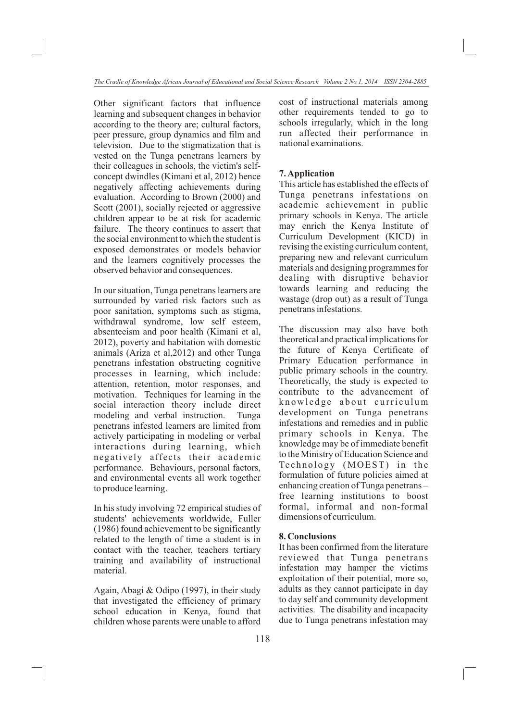Other significant factors that influence learning and subsequent changes in behavior according to the theory are; cultural factors, peer pressure, group dynamics and film and television. Due to the stigmatization that is vested on the Tunga penetrans learners by their colleagues in schools, the victim's selfconcept dwindles (Kimani et al, 2012) hence negatively affecting achievements during evaluation. According to Brown (2000) and Scott (2001), socially rejected or aggressive children appear to be at risk for academic failure. The theory continues to assert that the social environment to which the student is exposed demonstrates or models behavior and the learners cognitively processes the observed behavior and consequences.

In our situation, Tunga penetrans learners are surrounded by varied risk factors such as poor sanitation, symptoms such as stigma, withdrawal syndrome, low self esteem, absenteeism and poor health (Kimani et al, 2012), poverty and habitation with domestic animals (Ariza et al,2012) and other Tunga penetrans infestation obstructing cognitive processes in learning, which include: attention, retention, motor responses, and motivation. Techniques for learning in the social interaction theory include direct modeling and verbal instruction. Tunga penetrans infested learners are limited from actively participating in modeling or verbal interactions during learning, which negatively affects their academic performance. Behaviours, personal factors, and environmental events all work together to produce learning.

In his study involving 72 empirical studies of students' achievements worldwide, Fuller (1986) found achievement to be significantly related to the length of time a student is in contact with the teacher, teachers tertiary training and availability of instructional material.

Again, Abagi & Odipo (1997), in their study that investigated the efficiency of primary school education in Kenya, found that children whose parents were unable to afford cost of instructional materials among other requirements tended to go to schools irregularly, which in the long run affected their performance in national examinations.

# **7. Application**

This article has established the effects of Tunga penetrans infestations on academic achievement in public primary schools in Kenya. The article may enrich the Kenya Institute of Curriculum Development (KICD) in revising the existing curriculum content, preparing new and relevant curriculum materials and designing programmes for dealing with disruptive behavior towards learning and reducing the wastage (drop out) as a result of Tunga penetrans infestations.

The discussion may also have both theoretical and practical implications for the future of Kenya Certificate of Primary Education performance in public primary schools in the country. Theoretically, the study is expected to contribute to the advancement of knowledge about curriculum development on Tunga penetrans infestations and remedies and in public primary schools in Kenya. The knowledge may be of immediate benefit to the Ministry of Education Science and Technology (MOEST) in the formulation of future policies aimed at enhancing creation of Tunga penetrans – free learning institutions to boost formal, informal and non-formal dimensions of curriculum.

## **8. Conclusions**

It has been confirmed from the literature reviewed that Tunga penetrans infestation may hamper the victims exploitation of their potential, more so, adults as they cannot participate in day to day self and community development activities. The disability and incapacity due to Tunga penetrans infestation may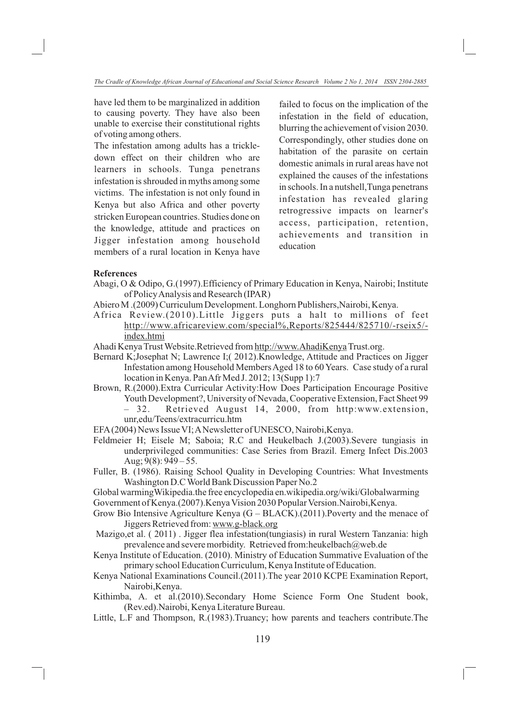have led them to be marginalized in addition to causing poverty. They have also been unable to exercise their constitutional rights of voting among others.

The infestation among adults has a trickledown effect on their children who are learners in schools. Tunga penetrans infestation is shrouded in myths among some victims. The infestation is not only found in Kenya but also Africa and other poverty stricken European countries. Studies done on the knowledge, attitude and practices on Jigger infestation among household members of a rural location in Kenya have

failed to focus on the implication of the infestation in the field of education, blurring the achievement of vision 2030. Correspondingly, other studies done on habitation of the parasite on certain domestic animals in rural areas have not explained the causes of the infestations in schools. In a nutshell,Tunga penetrans infestation has revealed glaring retrogressive impacts on learner's access, participation, retention, achievements and transition in education

### **References**

- Abagi, O & Odipo, G.(1997).Efficiency of Primary Education in Kenya, Nairobi; Institute of Policy Analysis and Research (IPAR)
- Abiero M .(2009) Curriculum Development. Longhorn Publishers,Nairobi, Kenya.
- Africa Review.(2010).Little Jiggers puts a halt to millions of feet http://www.africareview.com/special%,Reports/825444/825710/-rseix5/ index.htmi
- Ahadi Kenya Trust Website.Retrieved from http://www.AhadiKenya Trust.org.
- Bernard K;Josephat N; Lawrence I;( 2012).Knowledge, Attitude and Practices on Jigger Infestation among Household Members Aged 18 to 60 Years. Case study of a rural location in Kenya. Pan Afr Med J. 2012; 13(Supp 1):7
- Brown, R.(2000).Extra Curricular Activity:How Does Participation Encourage Positive Youth Development?, University of Nevada, Cooperative Extension, Fact Sheet 99
	- 32. Retrieved August 14, 2000, from http:www.extension, unr,edu/Teens/extracurricu.htm
- EFA (2004) News Issue VI; A Newsletter of UNESCO, Nairobi,Kenya.
- Feldmeier H; Eisele M; Saboia; R.C and Heukelbach J.(2003).Severe tungiasis in underprivileged communities: Case Series from Brazil. Emerg Infect Dis.2003 Aug;  $9(8)$ :  $949 - 55$ .
- Fuller, B. (1986). Raising School Quality in Developing Countries: What Investments Washington D.C World Bank Discussion Paper No.2
- Global warmingWikipedia.the free encyclopedia en.wikipedia.org/wiki/Globalwarming Government of Kenya.(2007).Kenya Vision 2030 Popular Version.Nairobi,Kenya.
- Grow Bio Intensive Agriculture Kenya  $(G BLACK)$ . (2011). Poverty and the menace of Jiggers Retrieved from: www.g-black.org
- Mazigo,et al. ( 2011) . Jigger flea infestation(tungiasis) in rural Western Tanzania: high prevalence and severe morbidity. Retrieved from:heukelbach@web.de
- Kenya Institute of Education. (2010). Ministry of Education Summative Evaluation of the primary school Education Curriculum, Kenya Institute of Education.
- Kenya National Examinations Council.(2011).The year 2010 KCPE Examination Report, Nairobi,Kenya.
- Kithimba, A. et al.(2010).Secondary Home Science Form One Student book, (Rev.ed).Nairobi, Kenya Literature Bureau.
- Little, L.F and Thompson, R.(1983).Truancy; how parents and teachers contribute.The